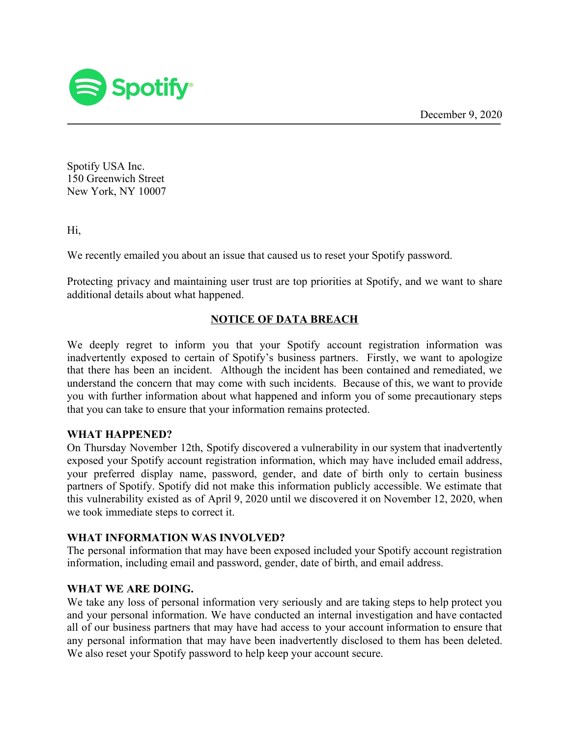December 9, 2020



Spotify USA Inc. 150 Greenwich Street New York, NY 10007

Hi,

We recently emailed you about an issue that caused us to reset your Spotify password.

Protecting privacy and maintaining user trust are top priorities at Spotify, and we want to share additional details about what happened.

# **NOTICE OF DATA BREACH**

We deeply regret to inform you that your Spotify account registration information was inadvertently exposed to certain of Spotify's business partners. Firstly, we want to apologize that there has been an incident. Although the incident has been contained and remediated, we understand the concern that may come with such incidents. Because of this, we want to provide you with further information about what happened and inform you of some precautionary steps that you can take to ensure that your information remains protected.

### **WHAT HAPPENED?**

On Thursday November 12th, Spotify discovered a vulnerability in our system that inadvertently exposed your Spotify account registration information, which may have included email address, your preferred display name, password, gender, and date of birth only to certain business partners of Spotify. Spotify did not make this information publicly accessible. We estimate that this vulnerability existed as of April 9, 2020 until we discovered it on November 12, 2020, when we took immediate steps to correct it.

### **WHAT INFORMATION WAS INVOLVED?**

The personal information that may have been exposed included your Spotify account registration information, including email and password, gender, date of birth, and email address.

# **WHAT WE ARE DOING.**

We take any loss of personal information very seriously and are taking steps to help protect you and your personal information. We have conducted an internal investigation and have contacted all of our business partners that may have had access to your account information to ensure that any personal information that may have been inadvertently disclosed to them has been deleted. We also reset your Spotify password to help keep your account secure.